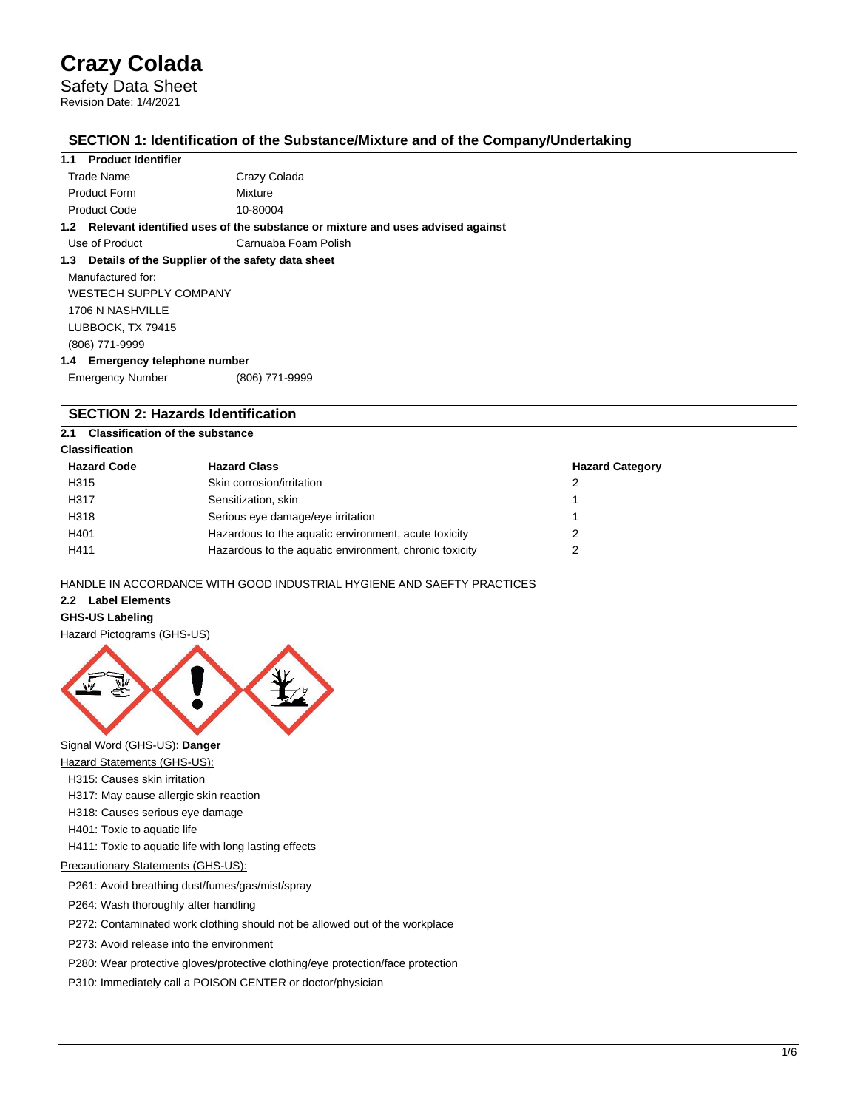Safety Data Sheet Revision Date: 1/4/2021

## **SECTION 1: Identification of the Substance/Mixture and of the Company/Undertaking**

### **1.1 Product Identifier**

|              | 1.2 Relevant identified uses of the substance or mixture and uses advised against |
|--------------|-----------------------------------------------------------------------------------|
| Product Code | 10-80004                                                                          |
| Product Form | Mixture                                                                           |
| Trade Name   | Crazy Colada                                                                      |
|              |                                                                                   |

Use of Product Carnuaba Foam Polish

**1.3 Details of the Supplier of the safety data sheet**

Manufactured for: WESTECH SUPPLY COMPANY 1706 N NASHVILLE LUBBOCK, TX 79415 (806) 771-9999

**1.4 Emergency telephone number**

Emergency Number (806) 771-9999

# **SECTION 2: Hazards Identification**

## **2.1 Classification of the substance**

**Classification**

| <b>Hazard Code</b> | <b>Hazard Class</b>                                    | <b>Hazard Category</b> |
|--------------------|--------------------------------------------------------|------------------------|
| H315               | Skin corrosion/irritation                              | 2                      |
| H317               | Sensitization, skin                                    |                        |
| H318               | Serious eye damage/eye irritation                      |                        |
| H401               | Hazardous to the aquatic environment, acute toxicity   |                        |
| H411               | Hazardous to the aquatic environment, chronic toxicity | າ                      |

HANDLE IN ACCORDANCE WITH GOOD INDUSTRIAL HYGIENE AND SAEFTY PRACTICES

**2.2 Label Elements**

#### **GHS-US Labeling**

Hazard Pictograms (GHS-US)



Signal Word (GHS-US): **Danger**

Hazard Statements (GHS-US):

H315: Causes skin irritation

H317: May cause allergic skin reaction

H318: Causes serious eye damage

H401: Toxic to aquatic life

H411: Toxic to aquatic life with long lasting effects

Precautionary Statements (GHS-US):

P261: Avoid breathing dust/fumes/gas/mist/spray

P264: Wash thoroughly after handling

P272: Contaminated work clothing should not be allowed out of the workplace

P273: Avoid release into the environment

P280: Wear protective gloves/protective clothing/eye protection/face protection

P310: Immediately call a POISON CENTER or doctor/physician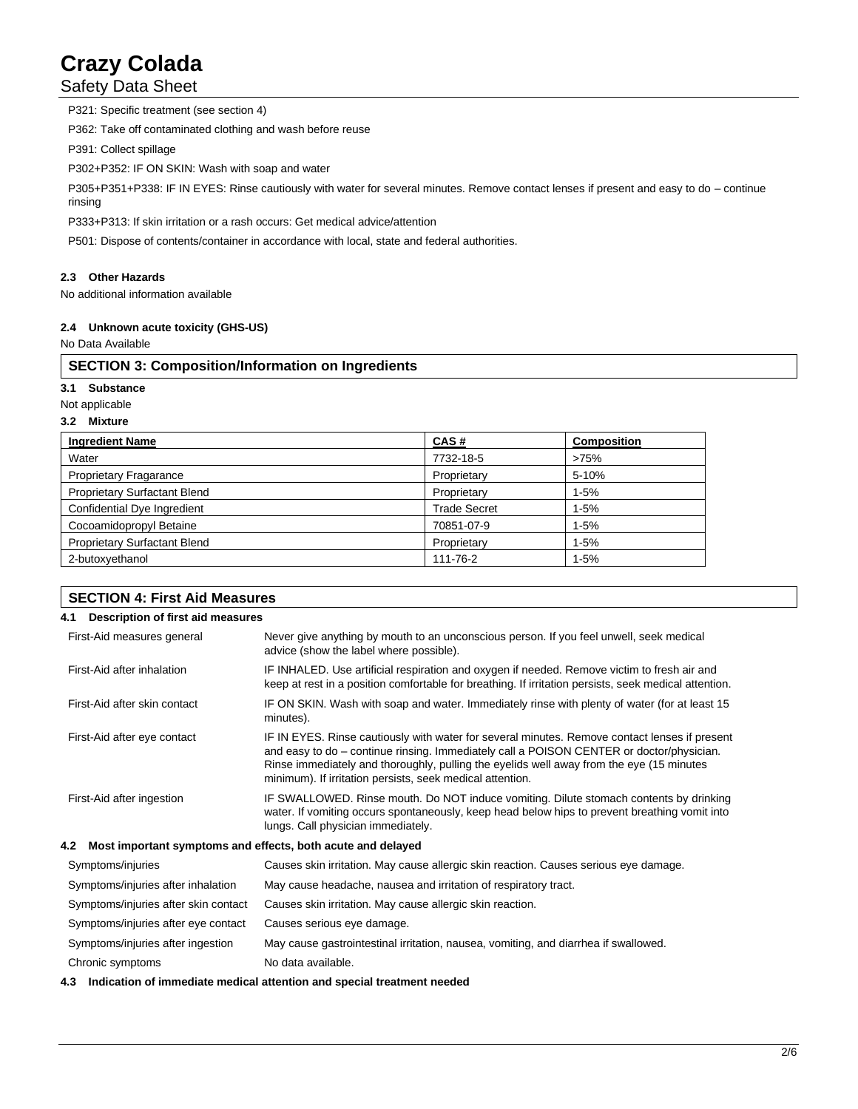Safety Data Sheet

P321: Specific treatment (see section 4) P362: Take off contaminated clothing and wash before reuse P391: Collect spillage P302+P352: IF ON SKIN: Wash with soap and water P305+P351+P338: IF IN EYES: Rinse cautiously with water for several minutes. Remove contact lenses if present and easy to do – continue rinsing P333+P313: If skin irritation or a rash occurs: Get medical advice/attention P501: Dispose of contents/container in accordance with local, state and federal authorities.

# **2.3 Other Hazards**

No additional information available

## **2.4 Unknown acute toxicity (GHS-US)**

No Data Available

# **SECTION 3: Composition/Information on Ingredients**

**3.1 Substance**

Not applicable

## **3.2 Mixture**

| <b>Ingredient Name</b>              | CAS#                | <b>Composition</b> |
|-------------------------------------|---------------------|--------------------|
| Water                               | 7732-18-5           | >75%               |
| <b>Proprietary Fragarance</b>       | Proprietary         | 5-10%              |
| <b>Proprietary Surfactant Blend</b> | Proprietary         | $1 - 5%$           |
| Confidential Dye Ingredient         | <b>Trade Secret</b> | $1 - 5%$           |
| Cocoamidopropyl Betaine             | 70851-07-9          | $1 - 5%$           |
| <b>Proprietary Surfactant Blend</b> | Proprietary         | $1 - 5%$           |
| 2-butoxyethanol                     | 111-76-2            | $1 - 5%$           |

| <b>SECTION 4: First Aid Measures</b>     |                                                                                                                                                                                                                                                                                                                                                    |  |  |
|------------------------------------------|----------------------------------------------------------------------------------------------------------------------------------------------------------------------------------------------------------------------------------------------------------------------------------------------------------------------------------------------------|--|--|
| Description of first aid measures<br>4.1 |                                                                                                                                                                                                                                                                                                                                                    |  |  |
| First-Aid measures general               | Never give anything by mouth to an unconscious person. If you feel unwell, seek medical<br>advice (show the label where possible).                                                                                                                                                                                                                 |  |  |
| First-Aid after inhalation               | IF INHALED. Use artificial respiration and oxygen if needed. Remove victim to fresh air and<br>keep at rest in a position comfortable for breathing. If irritation persists, seek medical attention.                                                                                                                                               |  |  |
| First-Aid after skin contact             | IF ON SKIN. Wash with soap and water. Immediately rinse with plenty of water (for at least 15<br>minutes).                                                                                                                                                                                                                                         |  |  |
| First-Aid after eye contact              | IF IN EYES. Rinse cautiously with water for several minutes. Remove contact lenses if present<br>and easy to do – continue rinsing. Immediately call a POISON CENTER or doctor/physician.<br>Rinse immediately and thoroughly, pulling the eyelids well away from the eye (15 minutes<br>minimum). If irritation persists, seek medical attention. |  |  |
| First-Aid after ingestion                | IF SWALLOWED. Rinse mouth. Do NOT induce vomiting. Dilute stomach contents by drinking<br>water. If vomiting occurs spontaneously, keep head below hips to prevent breathing vomit into<br>lungs. Call physician immediately.                                                                                                                      |  |  |
| $4.2^{\circ}$                            | Most important symptoms and effects, both acute and delayed                                                                                                                                                                                                                                                                                        |  |  |
| Symptoms/injuries                        | Causes skin irritation. May cause allergic skin reaction. Causes serious eye damage.                                                                                                                                                                                                                                                               |  |  |
| Symptoms/injuries after inhalation       | May cause headache, nausea and irritation of respiratory tract.                                                                                                                                                                                                                                                                                    |  |  |
| Symptoms/injuries after skin contact     | Causes skin irritation. May cause allergic skin reaction.                                                                                                                                                                                                                                                                                          |  |  |
| Symptoms/injuries after eye contact      | Causes serious eye damage.                                                                                                                                                                                                                                                                                                                         |  |  |
| Symptoms/injuries after ingestion        | May cause gastrointestinal irritation, nausea, vomiting, and diarrhea if swallowed.                                                                                                                                                                                                                                                                |  |  |
| Chronic symptoms                         | No data available.                                                                                                                                                                                                                                                                                                                                 |  |  |

## **4.3 Indication of immediate medical attention and special treatment needed**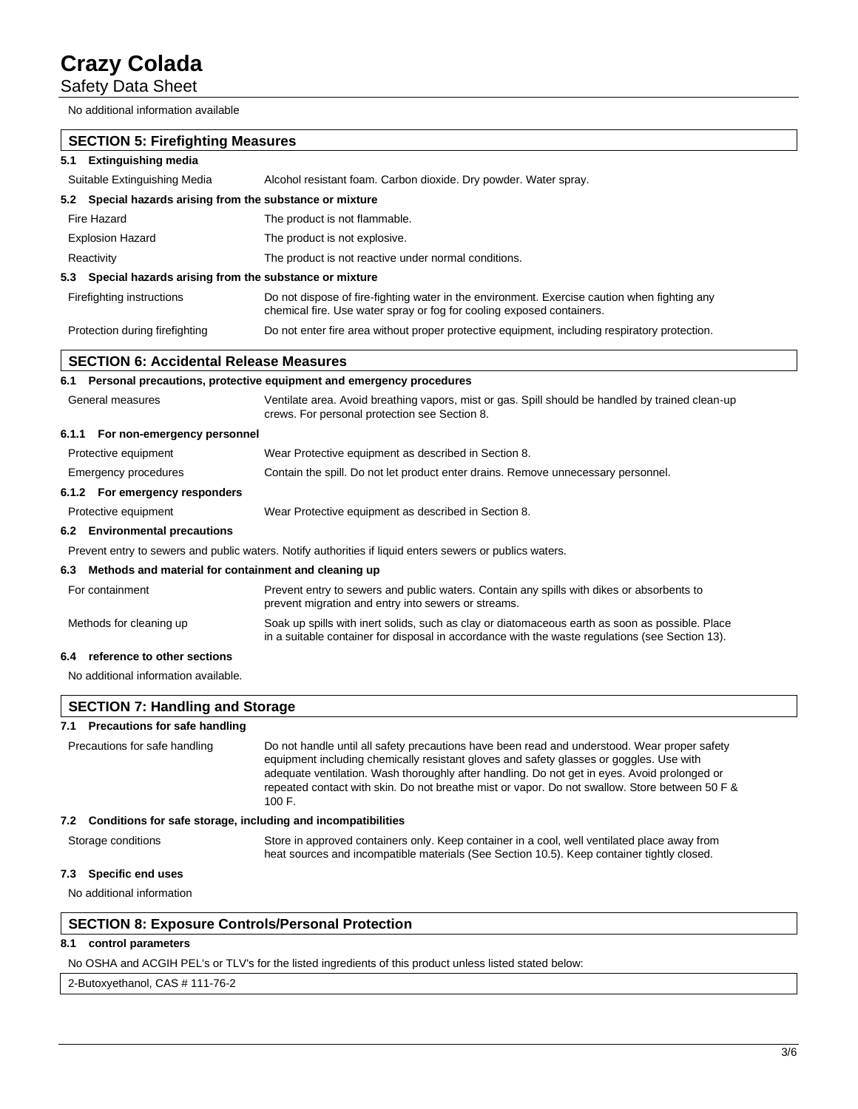Safety Data Sheet

No additional information available

| <b>SECTION 5: Firefighting Measures</b>                             |                                                                                                                                                                                                                                                                                                                                                                                                     |  |  |  |
|---------------------------------------------------------------------|-----------------------------------------------------------------------------------------------------------------------------------------------------------------------------------------------------------------------------------------------------------------------------------------------------------------------------------------------------------------------------------------------------|--|--|--|
| <b>Extinguishing media</b><br>5.1                                   |                                                                                                                                                                                                                                                                                                                                                                                                     |  |  |  |
| Suitable Extinguishing Media                                        | Alcohol resistant foam. Carbon dioxide. Dry powder. Water spray.                                                                                                                                                                                                                                                                                                                                    |  |  |  |
| 5.2 Special hazards arising from the substance or mixture           |                                                                                                                                                                                                                                                                                                                                                                                                     |  |  |  |
| Fire Hazard                                                         | The product is not flammable.                                                                                                                                                                                                                                                                                                                                                                       |  |  |  |
| <b>Explosion Hazard</b>                                             | The product is not explosive.                                                                                                                                                                                                                                                                                                                                                                       |  |  |  |
| Reactivity                                                          | The product is not reactive under normal conditions.                                                                                                                                                                                                                                                                                                                                                |  |  |  |
| Special hazards arising from the substance or mixture<br>5.3        |                                                                                                                                                                                                                                                                                                                                                                                                     |  |  |  |
| Firefighting instructions                                           | Do not dispose of fire-fighting water in the environment. Exercise caution when fighting any<br>chemical fire. Use water spray or fog for cooling exposed containers.                                                                                                                                                                                                                               |  |  |  |
| Protection during firefighting                                      | Do not enter fire area without proper protective equipment, including respiratory protection.                                                                                                                                                                                                                                                                                                       |  |  |  |
| <b>SECTION 6: Accidental Release Measures</b>                       |                                                                                                                                                                                                                                                                                                                                                                                                     |  |  |  |
|                                                                     | 6.1 Personal precautions, protective equipment and emergency procedures                                                                                                                                                                                                                                                                                                                             |  |  |  |
| General measures                                                    | Ventilate area. Avoid breathing vapors, mist or gas. Spill should be handled by trained clean-up<br>crews. For personal protection see Section 8.                                                                                                                                                                                                                                                   |  |  |  |
| 6.1.1 For non-emergency personnel                                   |                                                                                                                                                                                                                                                                                                                                                                                                     |  |  |  |
| Protective equipment                                                | Wear Protective equipment as described in Section 8.                                                                                                                                                                                                                                                                                                                                                |  |  |  |
| Emergency procedures                                                | Contain the spill. Do not let product enter drains. Remove unnecessary personnel.                                                                                                                                                                                                                                                                                                                   |  |  |  |
| 6.1.2 For emergency responders                                      |                                                                                                                                                                                                                                                                                                                                                                                                     |  |  |  |
| Protective equipment                                                | Wear Protective equipment as described in Section 8.                                                                                                                                                                                                                                                                                                                                                |  |  |  |
| 6.2 Environmental precautions                                       |                                                                                                                                                                                                                                                                                                                                                                                                     |  |  |  |
|                                                                     | Prevent entry to sewers and public waters. Notify authorities if liquid enters sewers or publics waters.                                                                                                                                                                                                                                                                                            |  |  |  |
| Methods and material for containment and cleaning up<br>6.3         |                                                                                                                                                                                                                                                                                                                                                                                                     |  |  |  |
| For containment                                                     | Prevent entry to sewers and public waters. Contain any spills with dikes or absorbents to<br>prevent migration and entry into sewers or streams.                                                                                                                                                                                                                                                    |  |  |  |
| Methods for cleaning up                                             | Soak up spills with inert solids, such as clay or diatomaceous earth as soon as possible. Place<br>in a suitable container for disposal in accordance with the waste regulations (see Section 13).                                                                                                                                                                                                  |  |  |  |
| reference to other sections<br>6.4                                  |                                                                                                                                                                                                                                                                                                                                                                                                     |  |  |  |
| No additional information available.                                |                                                                                                                                                                                                                                                                                                                                                                                                     |  |  |  |
| <b>SECTION 7: Handling and Storage</b>                              |                                                                                                                                                                                                                                                                                                                                                                                                     |  |  |  |
| 7.1 Precautions for safe handling                                   |                                                                                                                                                                                                                                                                                                                                                                                                     |  |  |  |
| Precautions for safe handling                                       | Do not handle until all safety precautions have been read and understood. Wear proper safety<br>equipment including chemically resistant gloves and safety glasses or goggles. Use with<br>adequate ventilation. Wash thoroughly after handling. Do not get in eyes. Avoid prolonged or<br>repeated contact with skin. Do not breathe mist or vapor. Do not swallow. Store between 50 F &<br>100 F. |  |  |  |
| Conditions for safe storage, including and incompatibilities<br>7.2 |                                                                                                                                                                                                                                                                                                                                                                                                     |  |  |  |
| Storage conditions                                                  | Store in approved containers only. Keep container in a cool, well ventilated place away from<br>heat sources and incompatible materials (See Section 10.5). Keep container tightly closed.                                                                                                                                                                                                          |  |  |  |
| Specific end uses<br>7.3                                            |                                                                                                                                                                                                                                                                                                                                                                                                     |  |  |  |
| No additional information                                           |                                                                                                                                                                                                                                                                                                                                                                                                     |  |  |  |

# **SECTION 8: Exposure Controls/Personal Protection**

# **8.1 control parameters**

No OSHA and ACGIH PEL's or TLV's for the listed ingredients of this product unless listed stated below:

2-Butoxyethanol, CAS # 111-76-2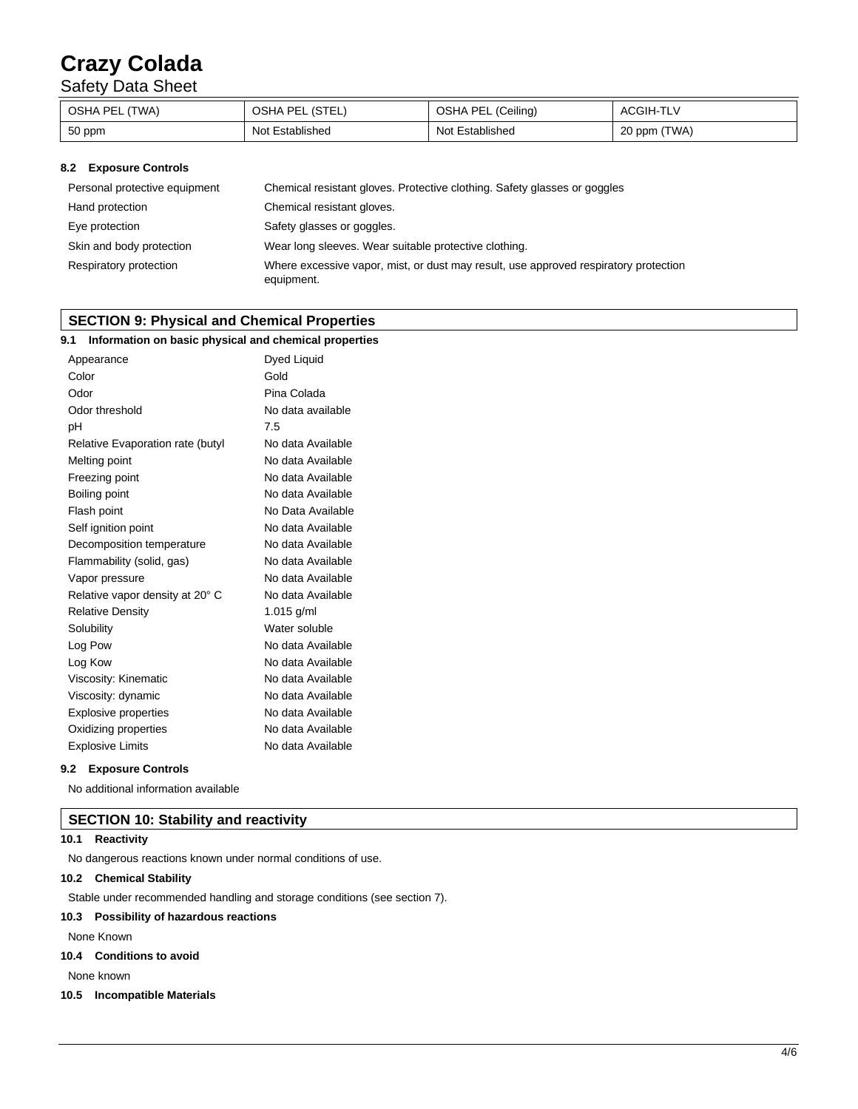Safety Data Sheet

| OSHA PEL (TWA) | OSHA PEL (STEL) | OSHA PEL (Ceiling) | <b>ACGIH-TLV</b> |
|----------------|-----------------|--------------------|------------------|
| 50 ppm         | Not Established | Not Established    | 20 ppm (TWA)     |

## **8.2 Exposure Controls**

| Personal protective equipment | Chemical resistant gloves. Protective clothing. Safety glasses or goggles                          |
|-------------------------------|----------------------------------------------------------------------------------------------------|
| Hand protection               | Chemical resistant gloves.                                                                         |
| Eye protection                | Safety glasses or goggles.                                                                         |
| Skin and body protection      | Wear long sleeves. Wear suitable protective clothing.                                              |
| Respiratory protection        | Where excessive vapor, mist, or dust may result, use approved respiratory protection<br>equipment. |

# **SECTION 9: Physical and Chemical Properties**

| Information on basic physical and chemical properties<br>9.1 |                   |
|--------------------------------------------------------------|-------------------|
| Appearance                                                   | Dyed Liquid       |
| Color                                                        | Gold              |
| Odor                                                         | Pina Colada       |
| Odor threshold                                               | No data available |
| pH                                                           | 7.5               |
| Relative Evaporation rate (butyl                             | No data Available |
| Melting point                                                | No data Available |
| Freezing point                                               | No data Available |
| Boiling point                                                | No data Available |
| Flash point                                                  | No Data Available |
| Self ignition point                                          | No data Available |
| Decomposition temperature                                    | No data Available |
| Flammability (solid, gas)                                    | No data Available |
| Vapor pressure                                               | No data Available |
| Relative vapor density at 20° C                              | No data Available |
| <b>Relative Density</b>                                      | 1.015 g/ml        |
| Solubility                                                   | Water soluble     |
| Log Pow                                                      | No data Available |
| Log Kow                                                      | No data Available |
| Viscosity: Kinematic                                         | No data Available |
| Viscosity: dynamic                                           | No data Available |
| <b>Explosive properties</b>                                  | No data Available |
| Oxidizing properties                                         | No data Available |
| <b>Explosive Limits</b>                                      | No data Available |

#### **9.2 Exposure Controls**

No additional information available

# **SECTION 10: Stability and reactivity**

## **10.1 Reactivity**

No dangerous reactions known under normal conditions of use.

## **10.2 Chemical Stability**

Stable under recommended handling and storage conditions (see section 7).

## **10.3 Possibility of hazardous reactions**

None Known

## **10.4 Conditions to avoid**

None known

#### **10.5 Incompatible Materials**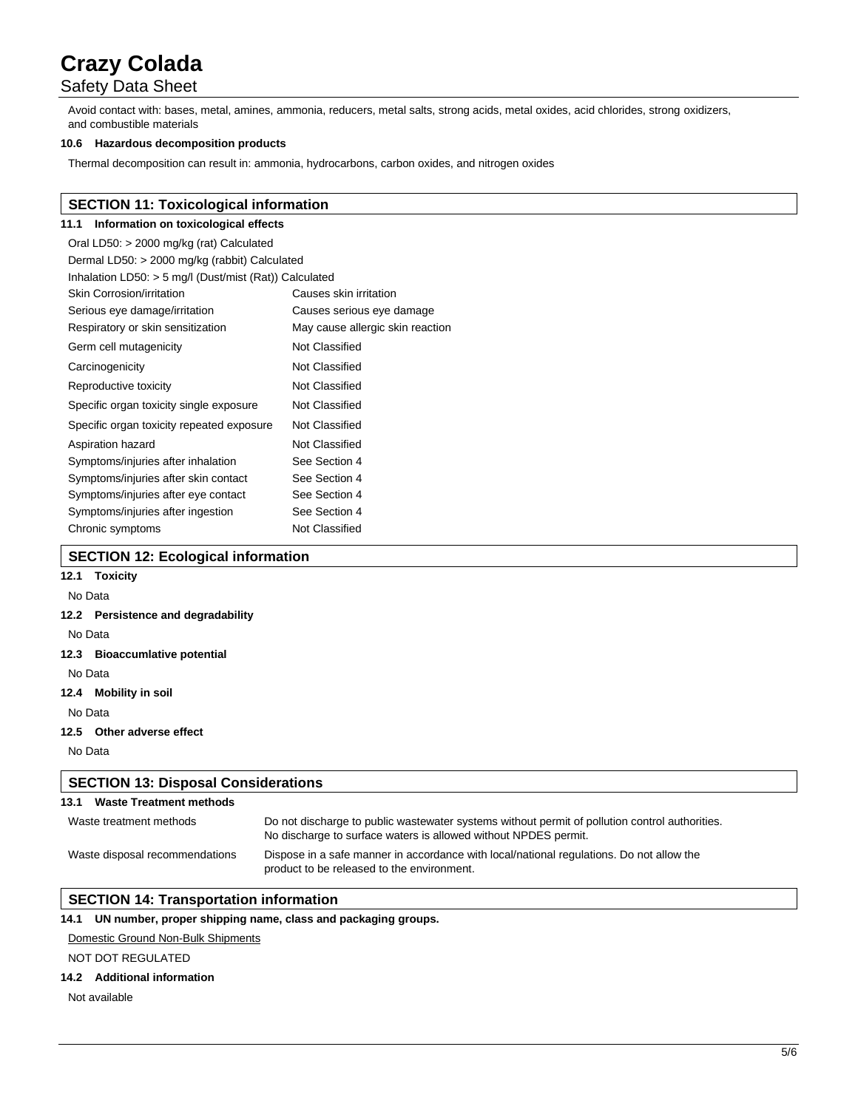# Safety Data Sheet

Avoid contact with: bases, metal, amines, ammonia, reducers, metal salts, strong acids, metal oxides, acid chlorides, strong oxidizers, and combustible materials

#### **10.6 Hazardous decomposition products**

Thermal decomposition can result in: ammonia, hydrocarbons, carbon oxides, and nitrogen oxides

## **SECTION 11: Toxicological information**

# **11.1 Information on toxicological effects**

| Oral LD50: > 2000 mg/kg (rat) Calculated                 |                                  |  |  |
|----------------------------------------------------------|----------------------------------|--|--|
| Dermal LD50: > 2000 mg/kg (rabbit) Calculated            |                                  |  |  |
| Inhalation LD50: $>$ 5 mg/l (Dust/mist (Rat)) Calculated |                                  |  |  |
| Skin Corrosion/irritation                                | Causes skin irritation           |  |  |
| Serious eye damage/irritation                            | Causes serious eye damage        |  |  |
| Respiratory or skin sensitization                        | May cause allergic skin reaction |  |  |
| Germ cell mutagenicity                                   | Not Classified                   |  |  |
| Carcinogenicity                                          | Not Classified                   |  |  |
| Reproductive toxicity                                    | Not Classified                   |  |  |
| Specific organ toxicity single exposure                  | Not Classified                   |  |  |
| Specific organ toxicity repeated exposure                | Not Classified                   |  |  |
| Aspiration hazard                                        | Not Classified                   |  |  |
| Symptoms/injuries after inhalation                       | See Section 4                    |  |  |
| Symptoms/injuries after skin contact                     | See Section 4                    |  |  |
| Symptoms/injuries after eye contact                      | See Section 4                    |  |  |
| Symptoms/injuries after ingestion                        | See Section 4                    |  |  |
| Chronic symptoms                                         | Not Classified                   |  |  |

## **SECTION 12: Ecological information**

# **12.1 Toxicity**

### No Data

### **12.2 Persistence and degradability**

No Data

#### **12.3 Bioaccumlative potential**

No Data

# **12.4 Mobility in soil**

No Data

### **12.5 Other adverse effect**

No Data

## **SECTION 13: Disposal Considerations 13.1 Waste Treatment methods**

| Waste treatment methods        | Do not discharge to public was tewater systems without permit of pollution control authorities.<br>No discharge to surface waters is allowed without NPDES permit. |
|--------------------------------|--------------------------------------------------------------------------------------------------------------------------------------------------------------------|
| Waste disposal recommendations | Dispose in a safe manner in accordance with local/national regulations. Do not allow the<br>product to be released to the environment.                             |

# **SECTION 14: Transportation information**

## **14.1 UN number, proper shipping name, class and packaging groups.**

#### Domestic Ground Non-Bulk Shipments

## NOT DOT REGULATED

## **14.2 Additional information**

Not available